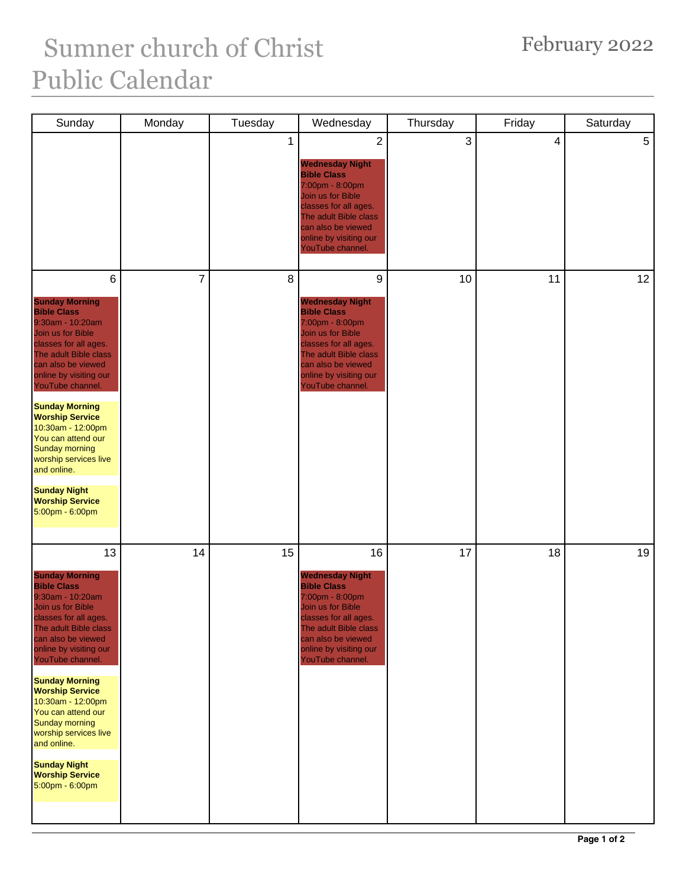## February 2022

## Sumner church of Christ Public Calendar

| Sunday                                                                                                                                                                                                                                                                                                                                                                                                                                              | Monday         | Tuesday | Wednesday                                                                                                                                                                                                                    | Thursday     | Friday | Saturday |
|-----------------------------------------------------------------------------------------------------------------------------------------------------------------------------------------------------------------------------------------------------------------------------------------------------------------------------------------------------------------------------------------------------------------------------------------------------|----------------|---------|------------------------------------------------------------------------------------------------------------------------------------------------------------------------------------------------------------------------------|--------------|--------|----------|
|                                                                                                                                                                                                                                                                                                                                                                                                                                                     |                | 1       | $\overline{2}$<br><b>Wednesday Night</b><br><b>Bible Class</b><br>7:00pm - 8:00pm<br>Join us for Bible<br>classes for all ages.<br>The adult Bible class<br>can also be viewed<br>online by visiting our<br>YouTube channel. | $\mathbf{3}$ | 4      | 5        |
| 6<br><b>Sunday Morning</b><br><b>Bible Class</b><br>9:30am - 10:20am<br>Join us for Bible<br>classes for all ages.<br>The adult Bible class<br>can also be viewed<br>online by visiting our<br>YouTube channel.<br><b>Sunday Morning</b><br><b>Worship Service</b><br>10:30am - 12:00pm<br>You can attend our<br><b>Sunday morning</b><br>worship services live<br>and online.<br><b>Sunday Night</b><br><b>Worship Service</b><br>5:00pm - 6:00pm  | $\overline{7}$ | 8       | 9<br><b>Wednesday Night</b><br><b>Bible Class</b><br>7:00pm - 8:00pm<br>Join us for Bible<br>classes for all ages.<br>The adult Bible class<br>can also be viewed<br>online by visiting our<br>YouTube channel.              | 10           | 11     | 12       |
| 13<br><b>Sunday Morning</b><br><b>Bible Class</b><br>9:30am - 10:20am<br>Join us for Bible<br>classes for all ages.<br>The adult Bible class<br>can also be viewed<br>online by visiting our<br>YouTube channel.<br><b>Sunday Morning</b><br><b>Worship Service</b><br>10:30am - 12:00pm<br>You can attend our<br><b>Sunday morning</b><br>worship services live<br>and online.<br><b>Sunday Night</b><br><b>Worship Service</b><br>5:00pm - 6:00pm | 14             | 15      | 16<br><b>Wednesday Night</b><br><b>Bible Class</b><br>7:00pm - 8:00pm<br>Join us for Bible<br>classes for all ages.<br>The adult Bible class<br>can also be viewed<br>online by visiting our<br>YouTube channel.             | 17           | 18     | 19       |